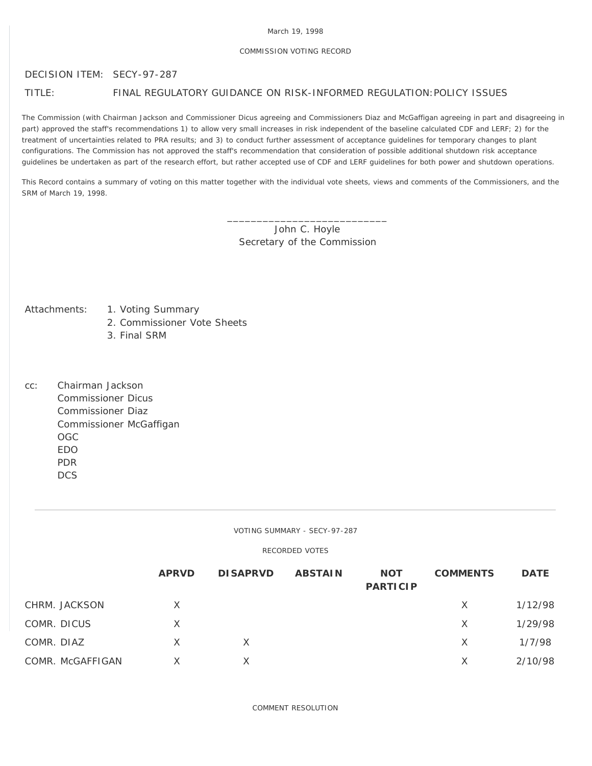### March 19, 1998

## COMMISSION VOTING RECORD

## DECISION ITEM: SECY-97-287

# TITLE: FINAL REGULATORY GUIDANCE ON RISK-INFORMED REGULATION:POLICY ISSUES

The Commission (with Chairman Jackson and Commissioner Dicus agreeing and Commissioners Diaz and McGaffigan agreeing in part and disagreeing in part) approved the staff's recommendations 1) to allow very small increases in risk independent of the baseline calculated CDF and LERF; 2) for the treatment of uncertainties related to PRA results; and 3) to conduct further assessment of acceptance guidelines for temporary changes to plant configurations. The Commission has not approved the staff's recommendation that consideration of possible additional shutdown risk acceptance guidelines be undertaken as part of the research effort, but rather accepted use of CDF and LERF guidelines for both power and shutdown operations.

This Record contains a summary of voting on this matter together with the individual vote sheets, views and comments of the Commissioners, and the SRM of March 19, 1998.

> \_\_\_\_\_\_\_\_\_\_\_\_\_\_\_\_\_\_\_\_\_\_\_\_\_\_\_ John C. Hoyle Secretary of the Commission

- Attachments: 1. Voting Summary
	- 2. Commissioner Vote Sheets
	- 3. Final SRM
- cc: Chairman Jackson Commissioner Dicus Commissioner Diaz Commissioner McGaffigan OGC EDO PDR **DCS**

VOTING SUMMARY - SECY-97-287

RECORDED VOTES

|             |                  | <b>APRVD</b> | <b>DISAPRVD</b> | <b>ABSTAIN</b> | <b>NOT</b><br><b>PARTICIP</b> | <b>COMMENTS</b> | <b>DATE</b> |
|-------------|------------------|--------------|-----------------|----------------|-------------------------------|-----------------|-------------|
|             | CHRM. JACKSON    | X            |                 |                |                               | X               | 1/12/98     |
| COMR. DICUS |                  | Χ            |                 |                |                               | X               | 1/29/98     |
| COMR. DIAZ  |                  | X            | X               |                |                               | X               | 1/7/98      |
|             | COMR. McGAFFIGAN |              |                 |                |                               | X               | 2/10/98     |

COMMENT RESOLUTION